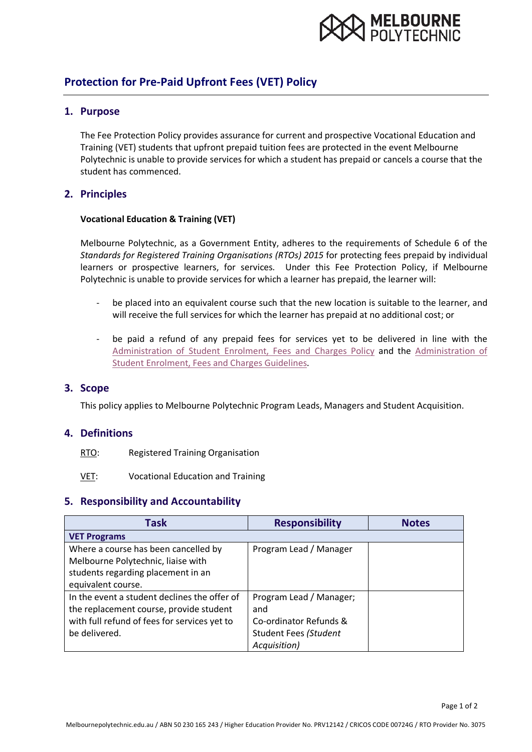

# **Protection for Pre-Paid Upfront Fees (VET) Policy**

#### **1. Purpose**

The Fee Protection Policy provides assurance for current and prospective Vocational Education and Training (VET) students that upfront prepaid tuition fees are protected in the event Melbourne Polytechnic is unable to provide services for which a student has prepaid or cancels a course that the student has commenced.

### **2. Principles**

#### **Vocational Education & Training (VET)**

Melbourne Polytechnic, as a Government Entity, adheres to the requirements of Schedule 6 of the *Standards for Registered Training Organisations (RTOs) 2015* for protecting fees prepaid by individual learners or prospective learners, for services. Under this Fee Protection Policy, if Melbourne Polytechnic is unable to provide services for which a learner has prepaid, the learner will:

- be placed into an equivalent course such that the new location is suitable to the learner, and will receive the full services for which the learner has prepaid at no additional cost; or
- be paid a refund of any prepaid fees for services yet to be delivered in line with the [Administration of Student Enrolment, Fees and Charges Policy](https://melbournepolytechnic.sharepoint.com/sites/staff/pp/Policy%20and%20Procedure/Administration%20of%20Student%20Enrolment%2C%20Fees%20and%20Charges%20Policy.pdf) and the [Administration of](https://melbournepolytechnic.sharepoint.com/sites/staff/pp/Policy%20and%20Procedure/Administration%20of%20Student%20Enrolment%2C%20Fees%20and%20Charges%20Guidelines.pdf)  [Student Enrolment, Fees and Charges Guidelines.](https://melbournepolytechnic.sharepoint.com/sites/staff/pp/Policy%20and%20Procedure/Administration%20of%20Student%20Enrolment%2C%20Fees%20and%20Charges%20Guidelines.pdf)

#### **3. Scope**

This policy applies to Melbourne Polytechnic Program Leads, Managers and Student Acquisition.

#### **4. Definitions**

- RTO: Registered Training Organisation
- VET: Vocational Education and Training

#### **5. Responsibility and Accountability**

| Task                                         | <b>Responsibility</b>        | <b>Notes</b> |
|----------------------------------------------|------------------------------|--------------|
| <b>VET Programs</b>                          |                              |              |
| Where a course has been cancelled by         | Program Lead / Manager       |              |
| Melbourne Polytechnic, liaise with           |                              |              |
| students regarding placement in an           |                              |              |
| equivalent course.                           |                              |              |
| In the event a student declines the offer of | Program Lead / Manager;      |              |
| the replacement course, provide student      | and                          |              |
| with full refund of fees for services yet to | Co-ordinator Refunds &       |              |
| be delivered.                                | <b>Student Fees (Student</b> |              |
|                                              | Acquisition)                 |              |